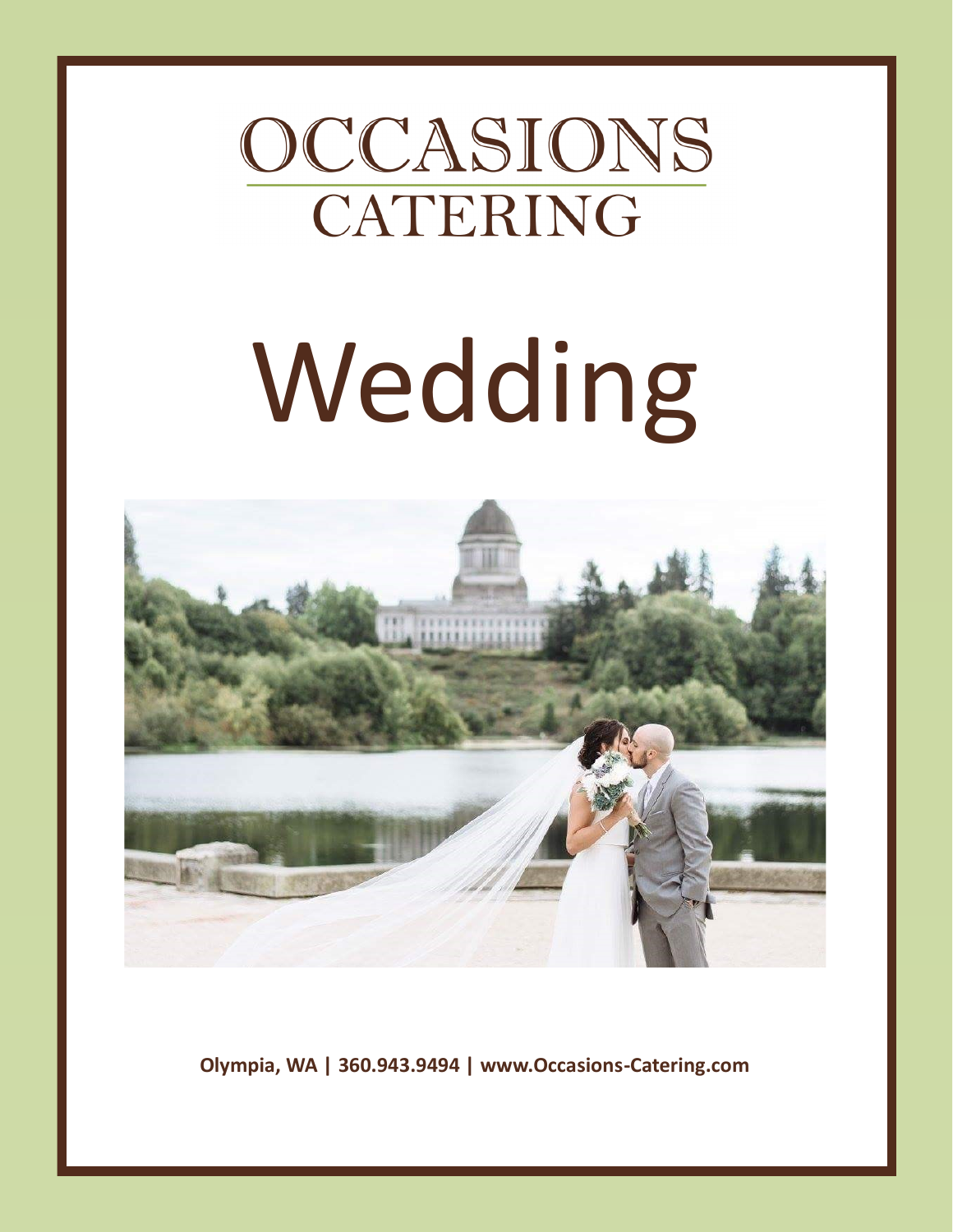### OCCASIONS CATERING

# Wedding



**Olympia, WA | 360.943.9494 | www.Occasions-Catering.com**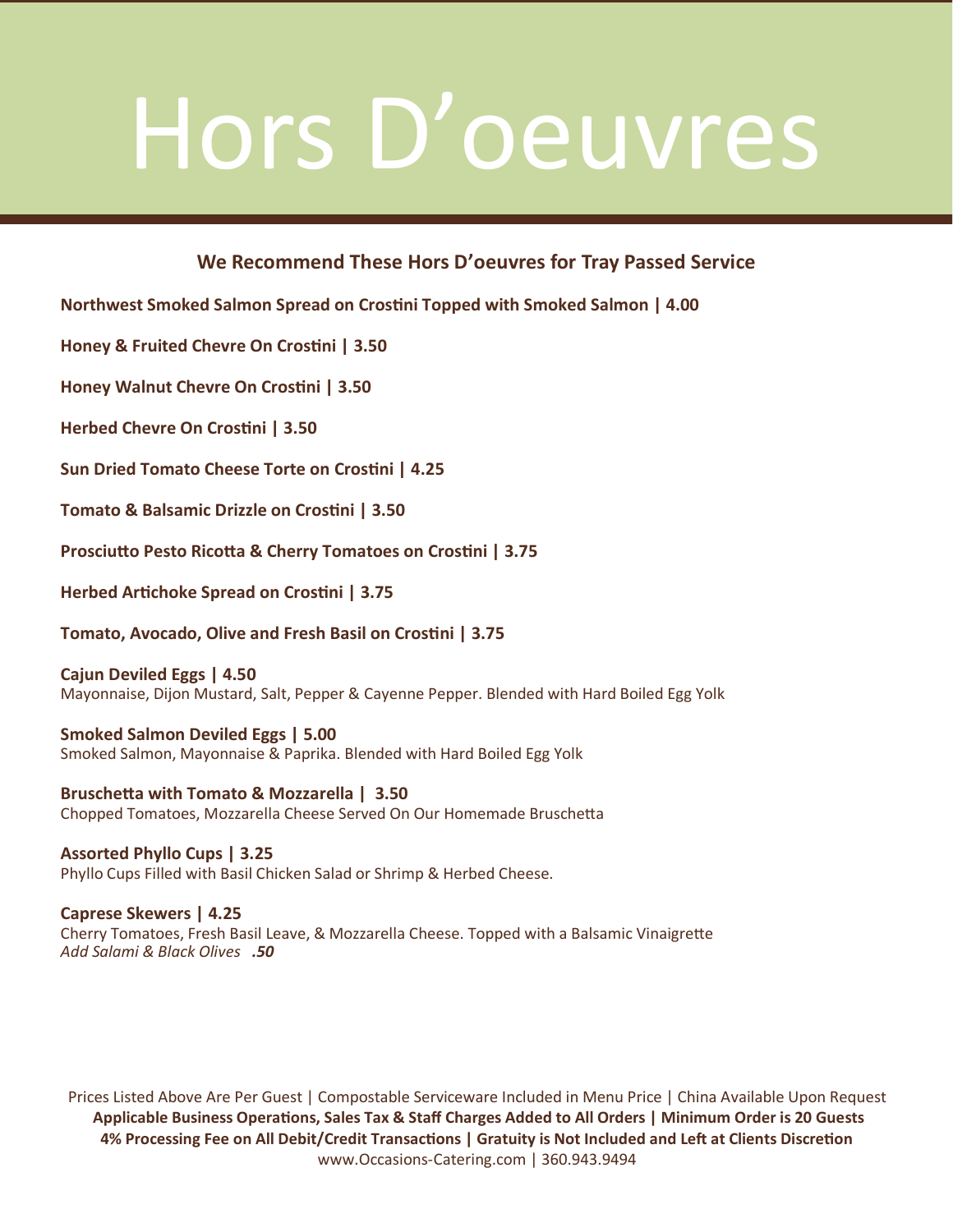## Hors D'oeuvres

### **We Recommend These Hors D'oeuvres for Tray Passed Service**

**Northwest Smoked Salmon Spread on Crostini Topped with Smoked Salmon | 4.00**

**Honey & Fruited Chevre On Crostini | 3.50**

**Honey Walnut Chevre On Crostini | 3.50**

**Herbed Chevre On Crostini | 3.50**

**Sun Dried Tomato Cheese Torte on Crostini | 4.25**

**Tomato & Balsamic Drizzle on Crostini | 3.50**

**Prosciutto Pesto Ricotta & Cherry Tomatoes on Crostini | 3.75**

**Herbed Artichoke Spread on Crostini | 3.75**

**Tomato, Avocado, Olive and Fresh Basil on Crostini | 3.75**

**Cajun Deviled Eggs | 4.50** Mayonnaise, Dijon Mustard, Salt, Pepper & Cayenne Pepper. Blended with Hard Boiled Egg Yolk

**Smoked Salmon Deviled Eggs | 5.00** Smoked Salmon, Mayonnaise & Paprika. Blended with Hard Boiled Egg Yolk

**Bruschetta with Tomato & Mozzarella | 3.50** Chopped Tomatoes, Mozzarella Cheese Served On Our Homemade Bruschetta

**Assorted Phyllo Cups | 3.25** Phyllo Cups Filled with Basil Chicken Salad or Shrimp & Herbed Cheese.

**Caprese Skewers | 4.25** Cherry Tomatoes, Fresh Basil Leave, & Mozzarella Cheese. Topped with a Balsamic Vinaigrette *Add Salami & Black Olives .50*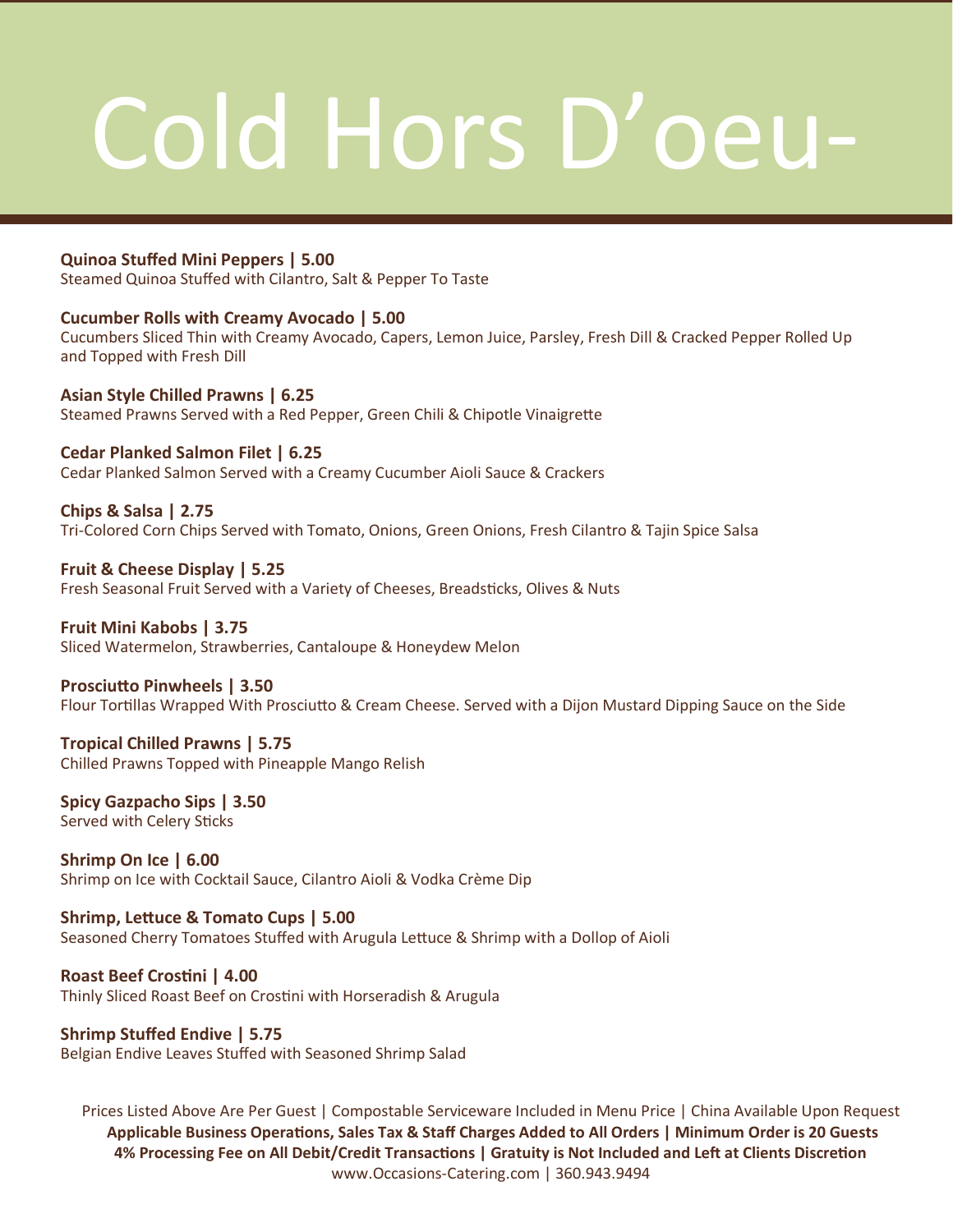## Cold Hors D'oeu-

### **Quinoa Stuffed Mini Peppers | 5.00**

Steamed Quinoa Stuffed with Cilantro, Salt & Pepper To Taste

### **Cucumber Rolls with Creamy Avocado | 5.00**

Cucumbers Sliced Thin with Creamy Avocado, Capers, Lemon Juice, Parsley, Fresh Dill & Cracked Pepper Rolled Up and Topped with Fresh Dill

**Asian Style Chilled Prawns | 6.25** Steamed Prawns Served with a Red Pepper, Green Chili & Chipotle Vinaigrette

### **Cedar Planked Salmon Filet | 6.25**

Cedar Planked Salmon Served with a Creamy Cucumber Aioli Sauce & Crackers

**Chips & Salsa | 2.75** Tri-Colored Corn Chips Served with Tomato, Onions, Green Onions, Fresh Cilantro & Tajin Spice Salsa

**Fruit & Cheese Display | 5.25**  Fresh Seasonal Fruit Served with a Variety of Cheeses, Breadsticks, Olives & Nuts

### **Fruit Mini Kabobs | 3.75**

Sliced Watermelon, Strawberries, Cantaloupe & Honeydew Melon

### **Prosciutto Pinwheels | 3.50**

Flour Tortillas Wrapped With Prosciutto & Cream Cheese. Served with a Dijon Mustard Dipping Sauce on the Side

### **Tropical Chilled Prawns | 5.75** Chilled Prawns Topped with Pineapple Mango Relish

### **Spicy Gazpacho Sips | 3.50** Served with Celery Sticks

**Shrimp On Ice | 6.00** Shrimp on Ice with Cocktail Sauce, Cilantro Aioli & Vodka Crème Dip

**Shrimp, Lettuce & Tomato Cups | 5.00** Seasoned Cherry Tomatoes Stuffed with Arugula Lettuce & Shrimp with a Dollop of Aioli

### **Roast Beef Crostini | 4.00**

Thinly Sliced Roast Beef on Crostini with Horseradish & Arugula

### **Shrimp Stuffed Endive | 5.75**

Belgian Endive Leaves Stuffed with Seasoned Shrimp Salad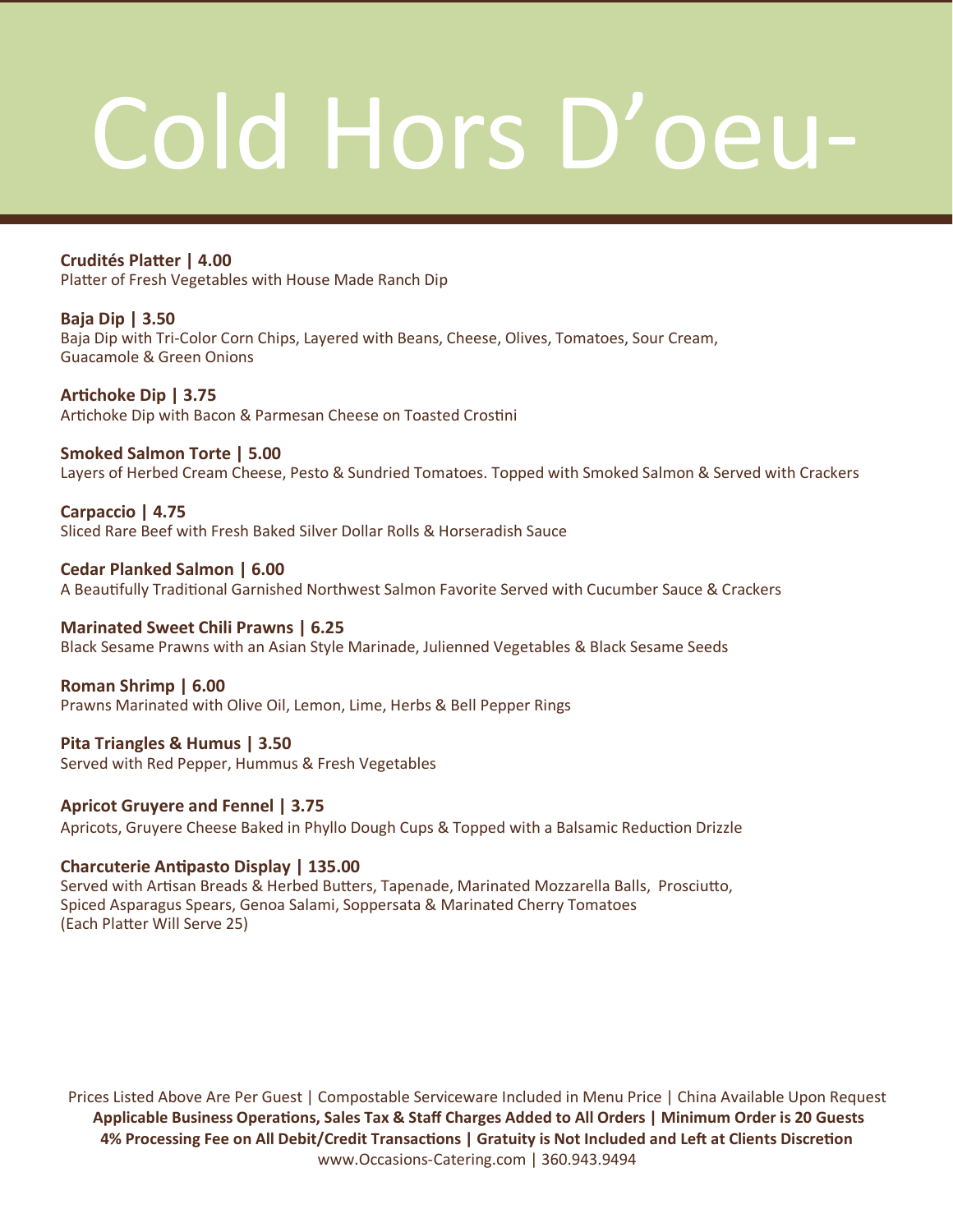## Cold Hors D'oeu-

**Crudités Platter | 4.00** Platter of Fresh Vegetables with House Made Ranch Dip

**Baja Dip | 3.50** Baja Dip with Tri-Color Corn Chips, Layered with Beans, Cheese, Olives, Tomatoes, Sour Cream, Guacamole & Green Onions

**Artichoke Dip | 3.75** Artichoke Dip with Bacon & Parmesan Cheese on Toasted Crostini

**Smoked Salmon Torte | 5.00** Layers of Herbed Cream Cheese, Pesto & Sundried Tomatoes. Topped with Smoked Salmon & Served with Crackers

**Carpaccio | 4.75** Sliced Rare Beef with Fresh Baked Silver Dollar Rolls & Horseradish Sauce

**Cedar Planked Salmon | 6.00** A Beautifully Traditional Garnished Northwest Salmon Favorite Served with Cucumber Sauce & Crackers

**Marinated Sweet Chili Prawns | 6.25** Black Sesame Prawns with an Asian Style Marinade, Julienned Vegetables & Black Sesame Seeds

**Roman Shrimp | 6.00** Prawns Marinated with Olive Oil, Lemon, Lime, Herbs & Bell Pepper Rings

**Pita Triangles & Humus | 3.50** Served with Red Pepper, Hummus & Fresh Vegetables

**Apricot Gruyere and Fennel | 3.75** Apricots, Gruyere Cheese Baked in Phyllo Dough Cups & Topped with a Balsamic Reduction Drizzle

### **Charcuterie Antipasto Display | 135.00**

Served with Artisan Breads & Herbed Butters, Tapenade, Marinated Mozzarella Balls, Prosciutto, Spiced Asparagus Spears, Genoa Salami, Soppersata & Marinated Cherry Tomatoes (Each Platter Will Serve 25)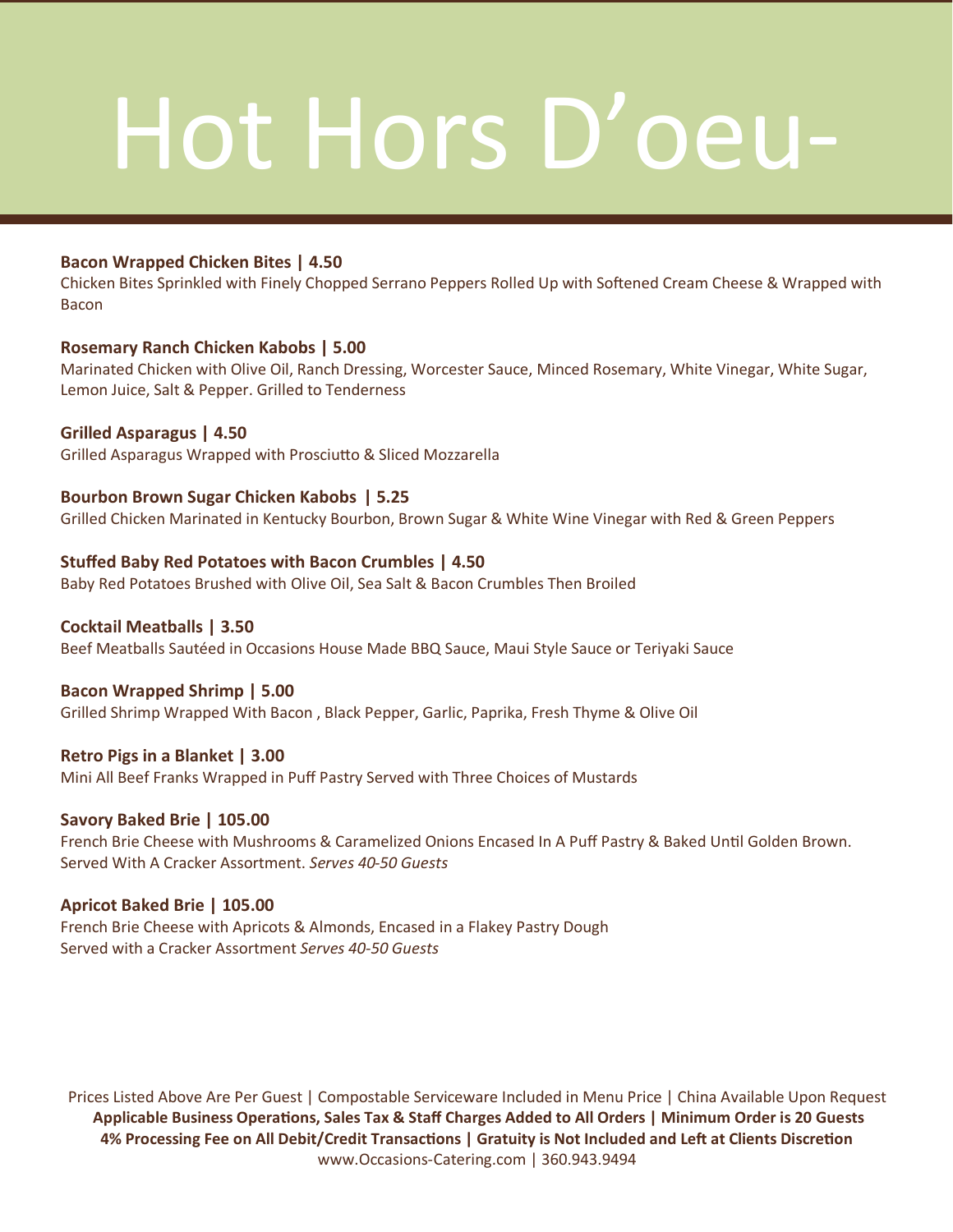## Hot Hors D'oeu-

### **Bacon Wrapped Chicken Bites | 4.50**

Chicken Bites Sprinkled with Finely Chopped Serrano Peppers Rolled Up with Softened Cream Cheese & Wrapped with Bacon

### **Rosemary Ranch Chicken Kabobs | 5.00**

Marinated Chicken with Olive Oil, Ranch Dressing, Worcester Sauce, Minced Rosemary, White Vinegar, White Sugar, Lemon Juice, Salt & Pepper. Grilled to Tenderness

### **Grilled Asparagus | 4.50**

Grilled Asparagus Wrapped with Prosciutto & Sliced Mozzarella

### **Bourbon Brown Sugar Chicken Kabobs | 5.25**

Grilled Chicken Marinated in Kentucky Bourbon, Brown Sugar & White Wine Vinegar with Red & Green Peppers

### **Stuffed Baby Red Potatoes with Bacon Crumbles | 4.50**

Baby Red Potatoes Brushed with Olive Oil, Sea Salt & Bacon Crumbles Then Broiled

### **Cocktail Meatballs | 3.50**

Beef Meatballs Sautéed in Occasions House Made BBQ Sauce, Maui Style Sauce or Teriyaki Sauce

### **Bacon Wrapped Shrimp | 5.00**

Grilled Shrimp Wrapped With Bacon , Black Pepper, Garlic, Paprika, Fresh Thyme & Olive Oil

### **Retro Pigs in a Blanket | 3.00**

Mini All Beef Franks Wrapped in Puff Pastry Served with Three Choices of Mustards

### **Savory Baked Brie | 105.00**

French Brie Cheese with Mushrooms & Caramelized Onions Encased In A Puff Pastry & Baked Until Golden Brown. Served With A Cracker Assortment. *Serves 40-50 Guests*

### **Apricot Baked Brie | 105.00**

French Brie Cheese with Apricots & Almonds, Encased in a Flakey Pastry Dough Served with a Cracker Assortment *Serves 40-50 Guests*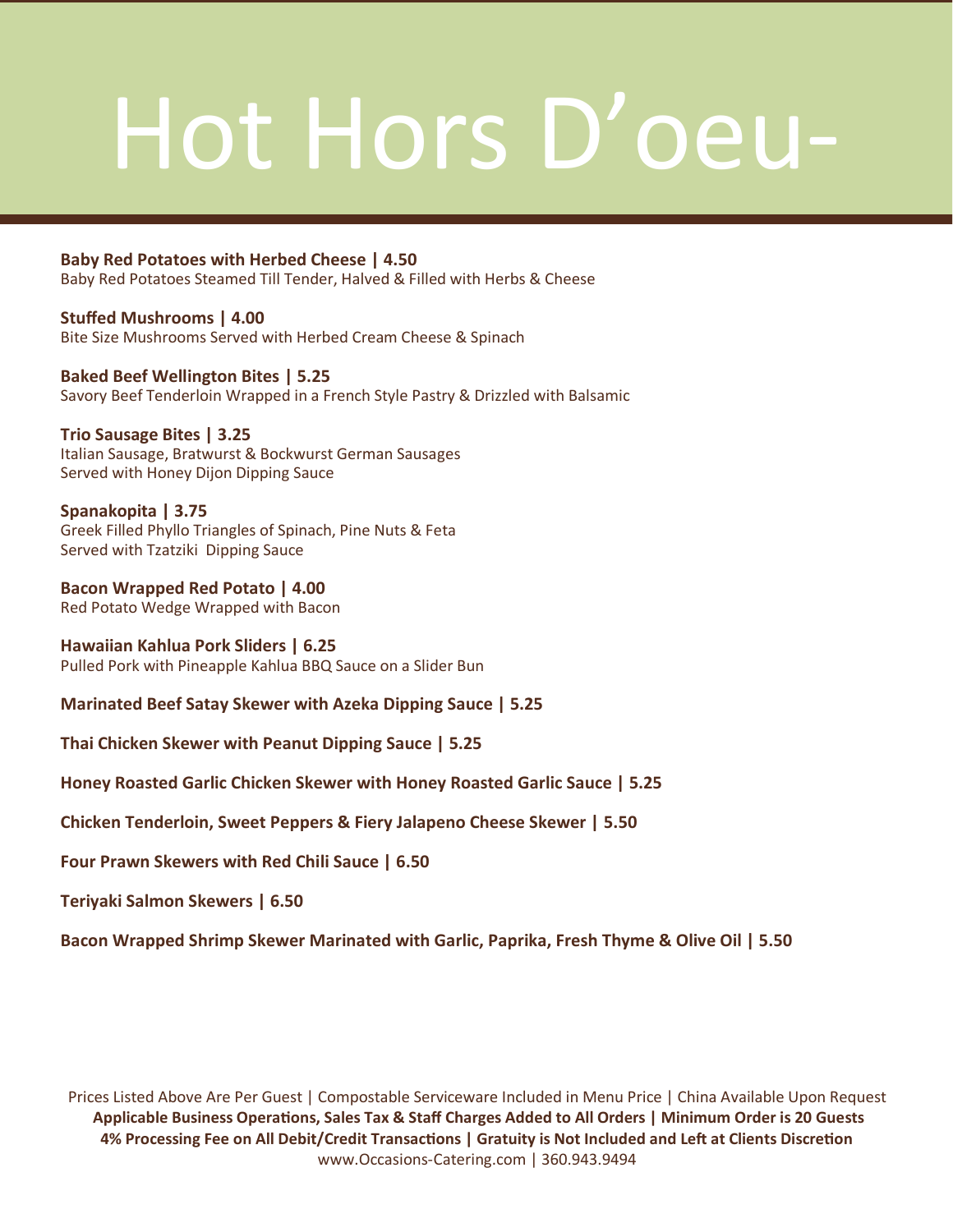## Hot Hors D'oeu-

### **Baby Red Potatoes with Herbed Cheese | 4.50**

Baby Red Potatoes Steamed Till Tender, Halved & Filled with Herbs & Cheese

**Stuffed Mushrooms | 4.00** Bite Size Mushrooms Served with Herbed Cream Cheese & Spinach

**Baked Beef Wellington Bites | 5.25** Savory Beef Tenderloin Wrapped in a French Style Pastry & Drizzled with Balsamic

**Trio Sausage Bites | 3.25** Italian Sausage, Bratwurst & Bockwurst German Sausages Served with Honey Dijon Dipping Sauce

**Spanakopita | 3.75** Greek Filled Phyllo Triangles of Spinach, Pine Nuts & Feta Served with Tzatziki Dipping Sauce

**Bacon Wrapped Red Potato | 4.00** Red Potato Wedge Wrapped with Bacon

**Hawaiian Kahlua Pork Sliders | 6.25** Pulled Pork with Pineapple Kahlua BBQ Sauce on a Slider Bun

**Marinated Beef Satay Skewer with Azeka Dipping Sauce | 5.25**

**Thai Chicken Skewer with Peanut Dipping Sauce | 5.25**

**Honey Roasted Garlic Chicken Skewer with Honey Roasted Garlic Sauce | 5.25**

**Chicken Tenderloin, Sweet Peppers & Fiery Jalapeno Cheese Skewer | 5.50**

**Four Prawn Skewers with Red Chili Sauce | 6.50**

**Teriyaki Salmon Skewers | 6.50**

**Bacon Wrapped Shrimp Skewer Marinated with Garlic, Paprika, Fresh Thyme & Olive Oil | 5.50**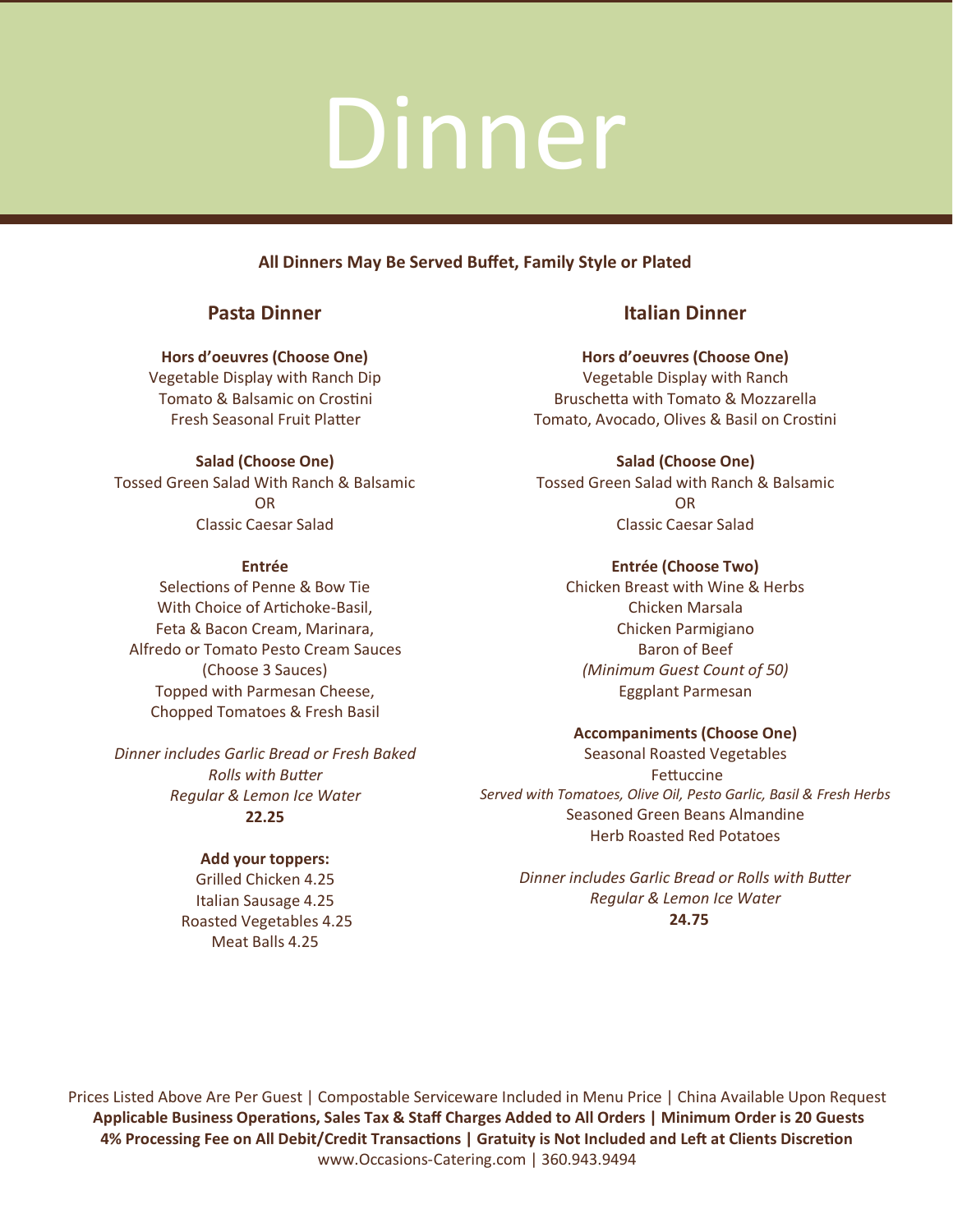### **All Dinners May Be Served Buffet, Family Style or Plated**

### **Pasta Dinner**

### **Hors d'oeuvres (Choose One)**

Vegetable Display with Ranch Dip Tomato & Balsamic on Crostini Fresh Seasonal Fruit Platter

**Salad (Choose One)** Tossed Green Salad With Ranch & Balsamic

O<sub>D</sub> Classic Caesar Salad

### **Entrée**

Selections of Penne & Bow Tie With Choice of Artichoke-Basil, Feta & Bacon Cream, Marinara, Alfredo or Tomato Pesto Cream Sauces (Choose 3 Sauces) Topped with Parmesan Cheese, Chopped Tomatoes & Fresh Basil

*Dinner includes Garlic Bread or Fresh Baked Rolls with Butter Regular & Lemon Ice Water*  **22.25**

### **Add your toppers:**

Grilled Chicken 4.25 Italian Sausage 4.25 Roasted Vegetables 4.25 Meat Balls 4.25

### **Italian Dinner**

**Hors d'oeuvres (Choose One)**  Vegetable Display with Ranch Bruschetta with Tomato & Mozzarella Tomato, Avocado, Olives & Basil on Crostini

**Salad (Choose One)** Tossed Green Salad with Ranch & Balsamic O<sub>D</sub> Classic Caesar Salad

**Entrée (Choose Two)** 

Chicken Breast with Wine & Herbs Chicken Marsala Chicken Parmigiano Baron of Beef *(Minimum Guest Count of 50)*  Eggplant Parmesan

### **Accompaniments (Choose One)**

Seasonal Roasted Vegetables Fettuccine *Served with Tomatoes, Olive Oil, Pesto Garlic, Basil & Fresh Herbs* Seasoned Green Beans Almandine Herb Roasted Red Potatoes

*Dinner includes Garlic Bread or Rolls with Butter Regular & Lemon Ice Water*  **24.75**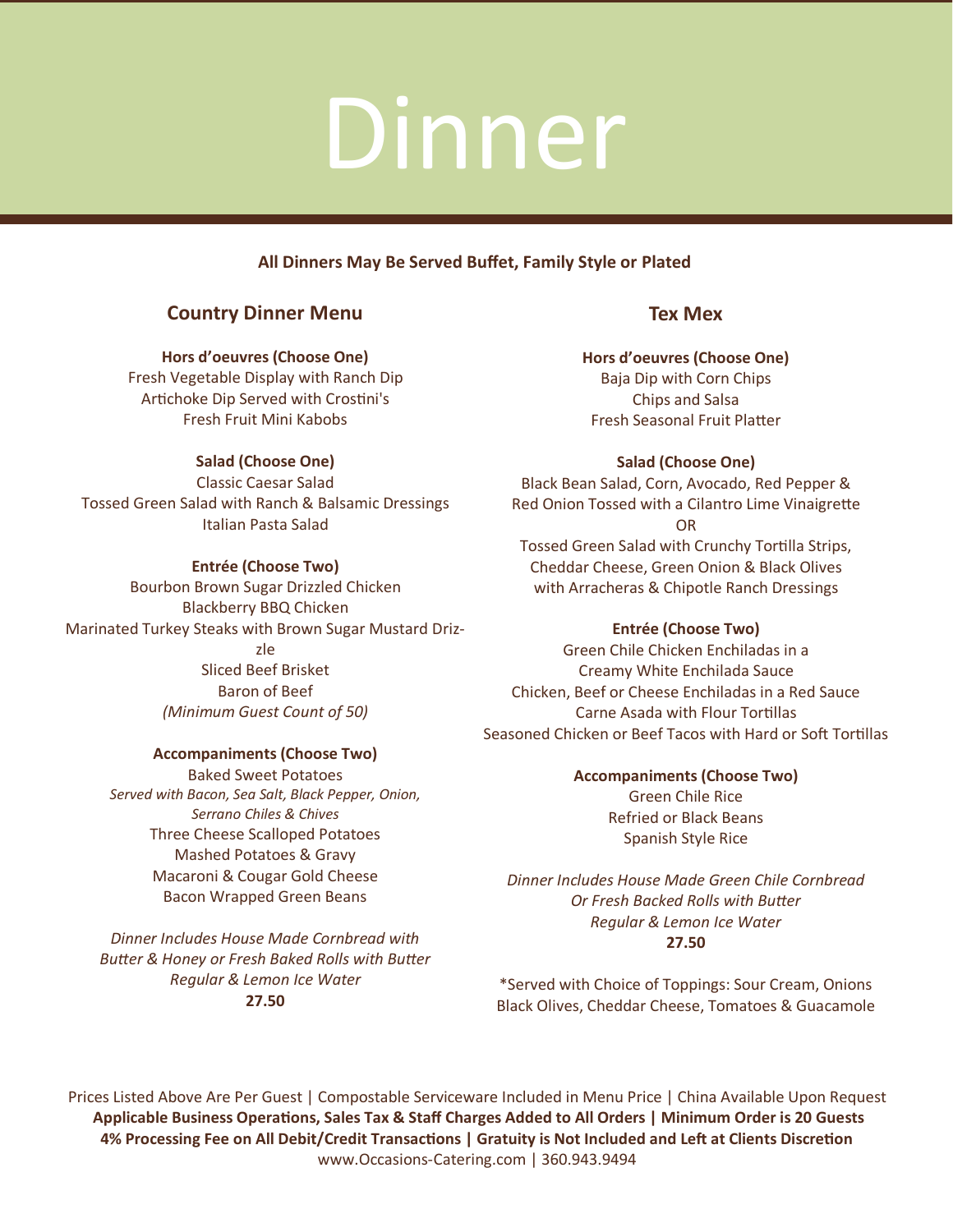### **All Dinners May Be Served Buffet, Family Style or Plated**

### **Country Dinner Menu**

**Hors d'oeuvres (Choose One)** Fresh Vegetable Display with Ranch Dip Artichoke Dip Served with Crostini's Fresh Fruit Mini Kabobs

### **Salad (Choose One)**

Classic Caesar Salad Tossed Green Salad with Ranch & Balsamic Dressings Italian Pasta Salad

### **Entrée (Choose Two)**

Bourbon Brown Sugar Drizzled Chicken Blackberry BBQ Chicken Marinated Turkey Steaks with Brown Sugar Mustard Drizzle Sliced Beef Brisket Baron of Beef *(Minimum Guest Count of 50)*

### **Accompaniments (Choose Two)**

Baked Sweet Potatoes *Served with Bacon, Sea Salt, Black Pepper, Onion, Serrano Chiles & Chives* Three Cheese Scalloped Potatoes Mashed Potatoes & Gravy Macaroni & Cougar Gold Cheese Bacon Wrapped Green Beans

*Dinner Includes House Made Cornbread with Butter & Honey or Fresh Baked Rolls with Butter Regular & Lemon Ice Water* **27.50**

### **Tex Mex**

**Hors d'oeuvres (Choose One)**  Baja Dip with Corn Chips Chips and Salsa Fresh Seasonal Fruit Platter

### **Salad (Choose One)**

Black Bean Salad, Corn, Avocado, Red Pepper & Red Onion Tossed with a Cilantro Lime Vinaigrette OR Tossed Green Salad with Crunchy Tortilla Strips, Cheddar Cheese, Green Onion & Black Olives with Arracheras & Chipotle Ranch Dressings

### **Entrée (Choose Two)**

Green Chile Chicken Enchiladas in a Creamy White Enchilada Sauce Chicken, Beef or Cheese Enchiladas in a Red Sauce Carne Asada with Flour Tortillas Seasoned Chicken or Beef Tacos with Hard or Soft Tortillas

> **Accompaniments (Choose Two)** Green Chile Rice Refried or Black Beans Spanish Style Rice

*Dinner Includes House Made Green Chile Cornbread Or Fresh Backed Rolls with Butter Regular & Lemon Ice Water*  **27.50**

\*Served with Choice of Toppings: Sour Cream, Onions Black Olives, Cheddar Cheese, Tomatoes & Guacamole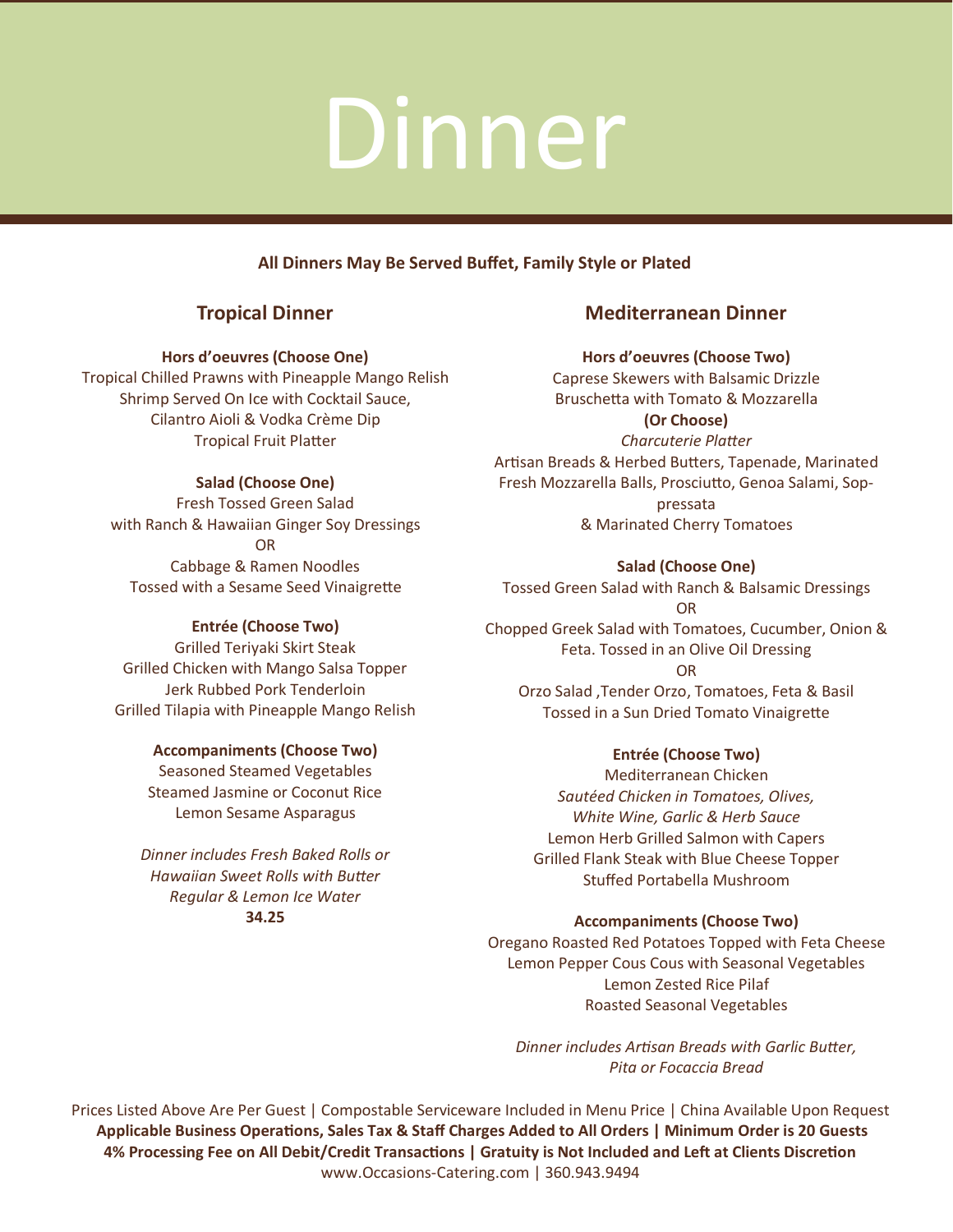### **All Dinners May Be Served Buffet, Family Style or Plated**

### **Tropical Dinner**

### **Hors d'oeuvres (Choose One)**

Tropical Chilled Prawns with Pineapple Mango Relish Shrimp Served On Ice with Cocktail Sauce, Cilantro Aioli & Vodka Crème Dip Tropical Fruit Platter

### **Salad (Choose One)**

Fresh Tossed Green Salad with Ranch & Hawaiian Ginger Soy Dressings OR Cabbage & Ramen Noodles Tossed with a Sesame Seed Vinaigrette

### **Entrée (Choose Two)**

Grilled Teriyaki Skirt Steak Grilled Chicken with Mango Salsa Topper Jerk Rubbed Pork Tenderloin Grilled Tilapia with Pineapple Mango Relish

### **Accompaniments (Choose Two)**

Seasoned Steamed Vegetables Steamed Jasmine or Coconut Rice Lemon Sesame Asparagus

*Dinner includes Fresh Baked Rolls or Hawaiian Sweet Rolls with Butter Regular & Lemon Ice Water*  **34.25**

### **Mediterranean Dinner**

### **Hors d'oeuvres (Choose Two)**

Caprese Skewers with Balsamic Drizzle Bruschetta with Tomato & Mozzarella **(Or Choose)** *Charcuterie Platter* 

Artisan Breads & Herbed Butters, Tapenade, Marinated Fresh Mozzarella Balls, Prosciutto, Genoa Salami, Soppressata & Marinated Cherry Tomatoes

**Salad (Choose One)** 

Tossed Green Salad with Ranch & Balsamic Dressings OR Chopped Greek Salad with Tomatoes, Cucumber, Onion &

Feta. Tossed in an Olive Oil Dressing OR Orzo Salad ,Tender Orzo, Tomatoes, Feta & Basil

Tossed in a Sun Dried Tomato Vinaigrette

### **Entrée (Choose Two)**

Mediterranean Chicken *Sautéed Chicken in Tomatoes, Olives, White Wine, Garlic & Herb Sauce* Lemon Herb Grilled Salmon with Capers Grilled Flank Steak with Blue Cheese Topper Stuffed Portabella Mushroom

### **Accompaniments (Choose Two)**

Oregano Roasted Red Potatoes Topped with Feta Cheese Lemon Pepper Cous Cous with Seasonal Vegetables Lemon Zested Rice Pilaf Roasted Seasonal Vegetables

*Dinner includes Artisan Breads with Garlic Butter, Pita or Focaccia Bread*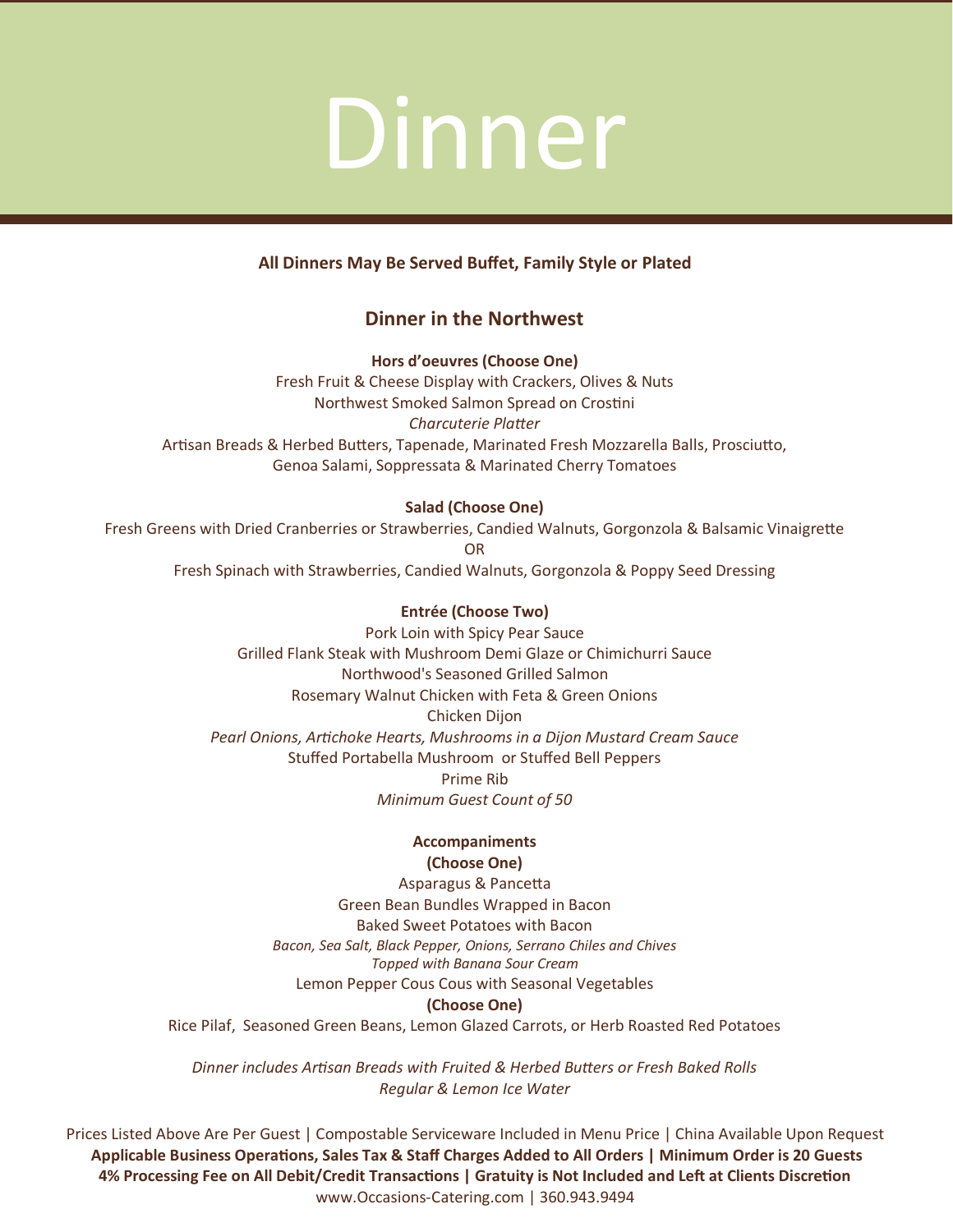### **All Dinners May Be Served Buffet, Family Style or Plated**

### **Dinner in the Northwest**

**Hors d'oeuvres (Choose One)**  Fresh Fruit & Cheese Display with Crackers, Olives & Nuts Northwest Smoked Salmon Spread on Crostini *Charcuterie Platter*  Artisan Breads & Herbed Butters, Tapenade, Marinated Fresh Mozzarella Balls, Prosciutto, Genoa Salami, Soppressata & Marinated Cherry Tomatoes

### **Salad (Choose One)**

Fresh Greens with Dried Cranberries or Strawberries, Candied Walnuts, Gorgonzola & Balsamic Vinaigrette OR Fresh Spinach with Strawberries, Candied Walnuts, Gorgonzola & Poppy Seed Dressing

> **Entrée (Choose Two)**  Pork Loin with Spicy Pear Sauce Grilled Flank Steak with Mushroom Demi Glaze or Chimichurri Sauce Northwood's Seasoned Grilled Salmon Rosemary Walnut Chicken with Feta & Green Onions Chicken Dijon *Pearl Onions, Artichoke Hearts, Mushrooms in a Dijon Mustard Cream Sauce*  Stuffed Portabella Mushroom or Stuffed Bell Peppers Prime Rib *Minimum Guest Count of 50*

### **Accompaniments (Choose One)**

Asparagus & Pancetta Green Bean Bundles Wrapped in Bacon Baked Sweet Potatoes with Bacon *Bacon, Sea Salt, Black Pepper, Onions, Serrano Chiles and Chives Topped with Banana Sour Cream* Lemon Pepper Cous Cous with Seasonal Vegetables **(Choose One)** 

Rice Pilaf, Seasoned Green Beans, Lemon Glazed Carrots, or Herb Roasted Red Potatoes

*Dinner includes Artisan Breads with Fruited & Herbed Butters or Fresh Baked Rolls Regular & Lemon Ice Water*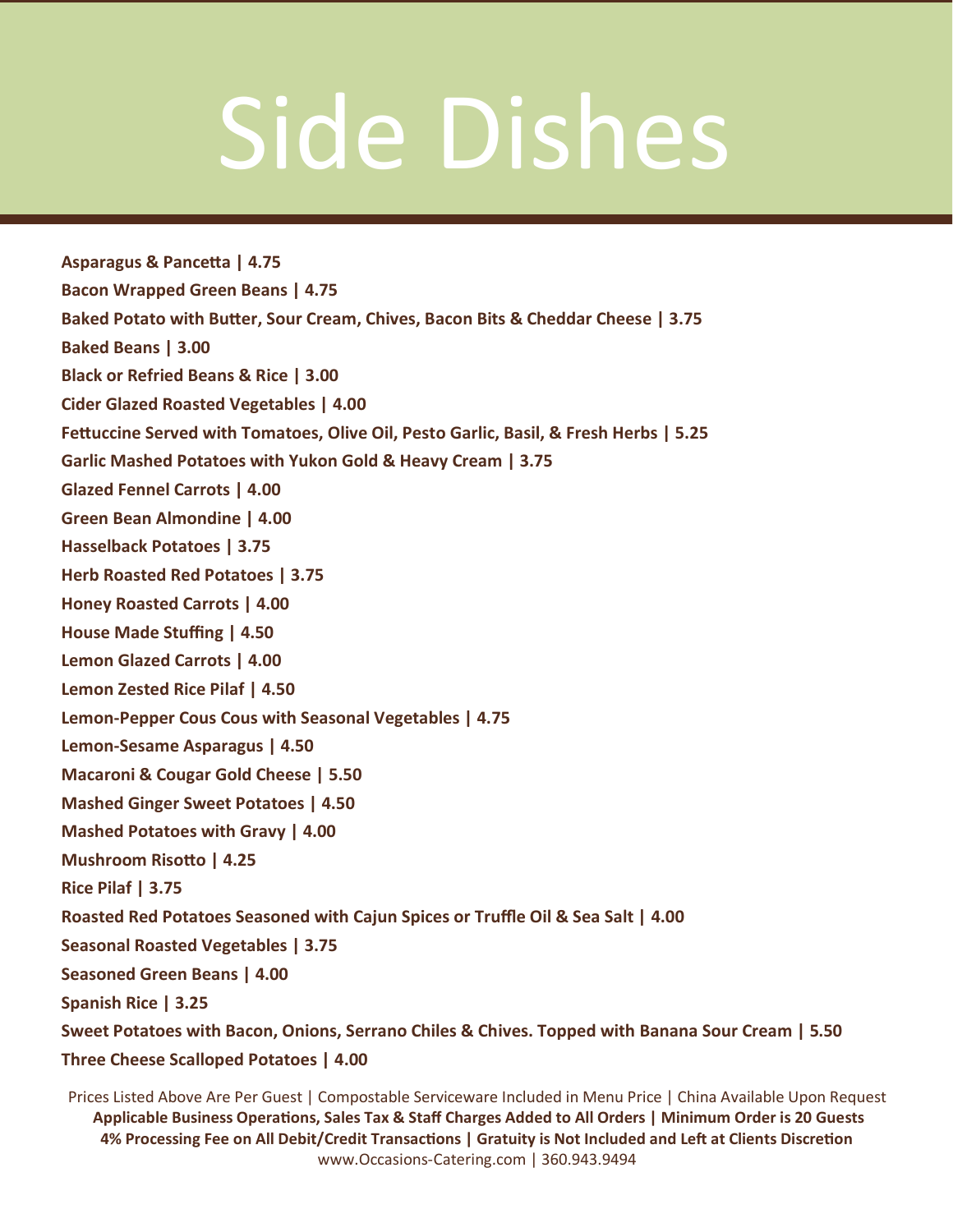## Side Dishes

**Asparagus & Pancetta | 4.75 Bacon Wrapped Green Beans | 4.75 Baked Potato with Butter, Sour Cream, Chives, Bacon Bits & Cheddar Cheese | 3.75 Baked Beans | 3.00 Black or Refried Beans & Rice | 3.00 Cider Glazed Roasted Vegetables | 4.00 Fettuccine Served with Tomatoes, Olive Oil, Pesto Garlic, Basil, & Fresh Herbs | 5.25 Garlic Mashed Potatoes with Yukon Gold & Heavy Cream | 3.75 Glazed Fennel Carrots | 4.00 Green Bean Almondine | 4.00 Hasselback Potatoes | 3.75 Herb Roasted Red Potatoes | 3.75 Honey Roasted Carrots | 4.00 House Made Stuffing | 4.50 Lemon Glazed Carrots | 4.00 Lemon Zested Rice Pilaf | 4.50 Lemon-Pepper Cous Cous with Seasonal Vegetables | 4.75 Lemon-Sesame Asparagus | 4.50 Macaroni & Cougar Gold Cheese | 5.50 Mashed Ginger Sweet Potatoes | 4.50 Mashed Potatoes with Gravy | 4.00 Mushroom Risotto | 4.25 Rice Pilaf | 3.75 Roasted Red Potatoes Seasoned with Cajun Spices or Truffle Oil & Sea Salt | 4.00 Seasonal Roasted Vegetables | 3.75 Seasoned Green Beans | 4.00 Spanish Rice | 3.25 Sweet Potatoes with Bacon, Onions, Serrano Chiles & Chives. Topped with Banana Sour Cream | 5.50 Three Cheese Scalloped Potatoes | 4.00**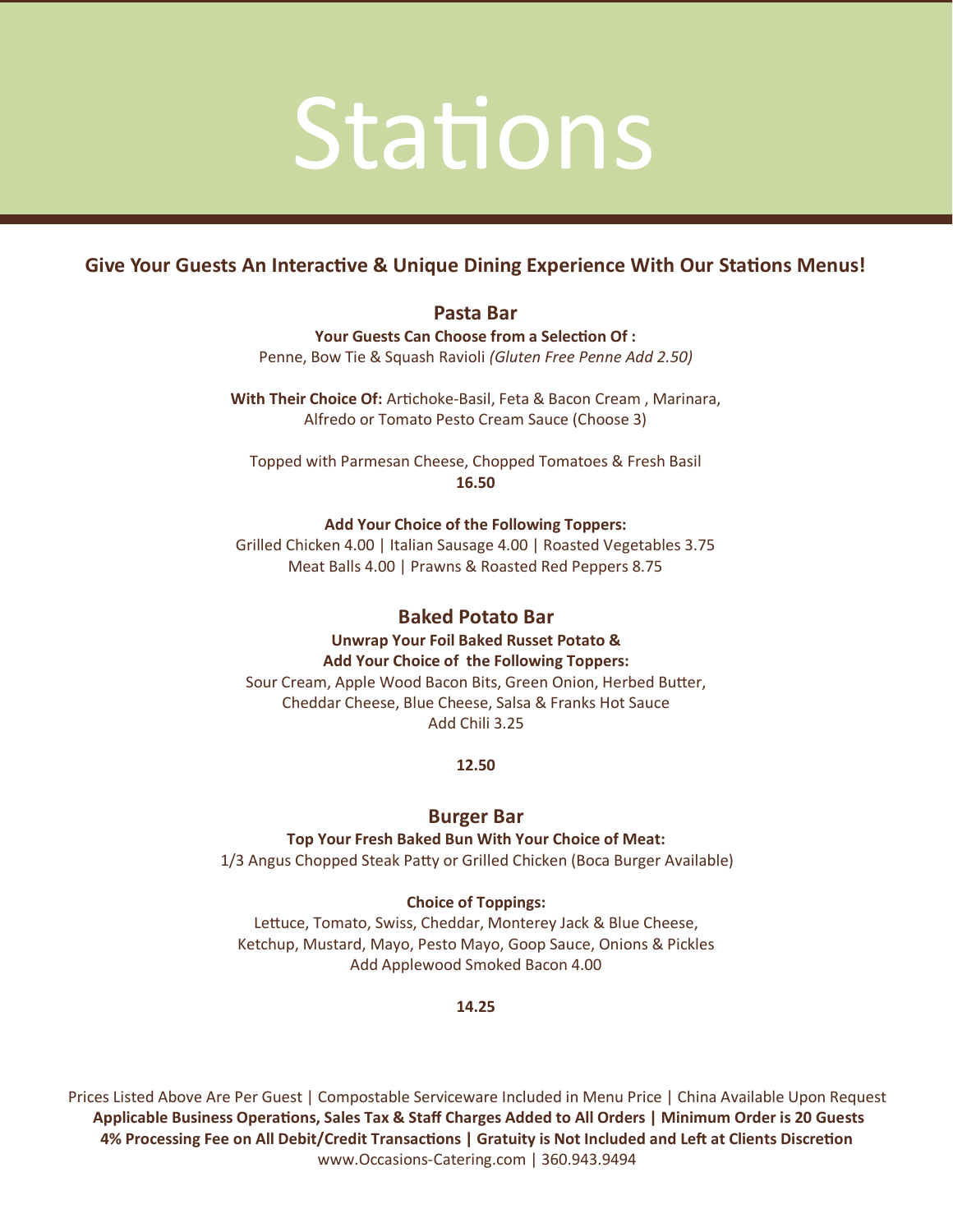### Stations

### **Give Your Guests An Interactive & Unique Dining Experience With Our Stations Menus!**

### **Pasta Bar**

**Your Guests Can Choose from a Selection Of :**

Penne, Bow Tie & Squash Ravioli *(Gluten Free Penne Add 2.50)*

**With Their Choice Of:** Artichoke-Basil, Feta & Bacon Cream , Marinara, Alfredo or Tomato Pesto Cream Sauce (Choose 3)

Topped with Parmesan Cheese, Chopped Tomatoes & Fresh Basil **16.50**

### **Add Your Choice of the Following Toppers:**

Grilled Chicken 4.00 | Italian Sausage 4.00 | Roasted Vegetables 3.75 Meat Balls 4.00 | Prawns & Roasted Red Peppers 8.75

### **Baked Potato Bar**

**Unwrap Your Foil Baked Russet Potato & Add Your Choice of the Following Toppers:** Sour Cream, Apple Wood Bacon Bits, Green Onion, Herbed Butter, Cheddar Cheese, Blue Cheese, Salsa & Franks Hot Sauce Add Chili 3.25

**12.50**

### **Burger Bar**

**Top Your Fresh Baked Bun With Your Choice of Meat:** 1/3 Angus Chopped Steak Patty or Grilled Chicken (Boca Burger Available)

### **Choice of Toppings:**

Lettuce, Tomato, Swiss, Cheddar, Monterey Jack & Blue Cheese, Ketchup, Mustard, Mayo, Pesto Mayo, Goop Sauce, Onions & Pickles Add Applewood Smoked Bacon 4.00

### **14.25**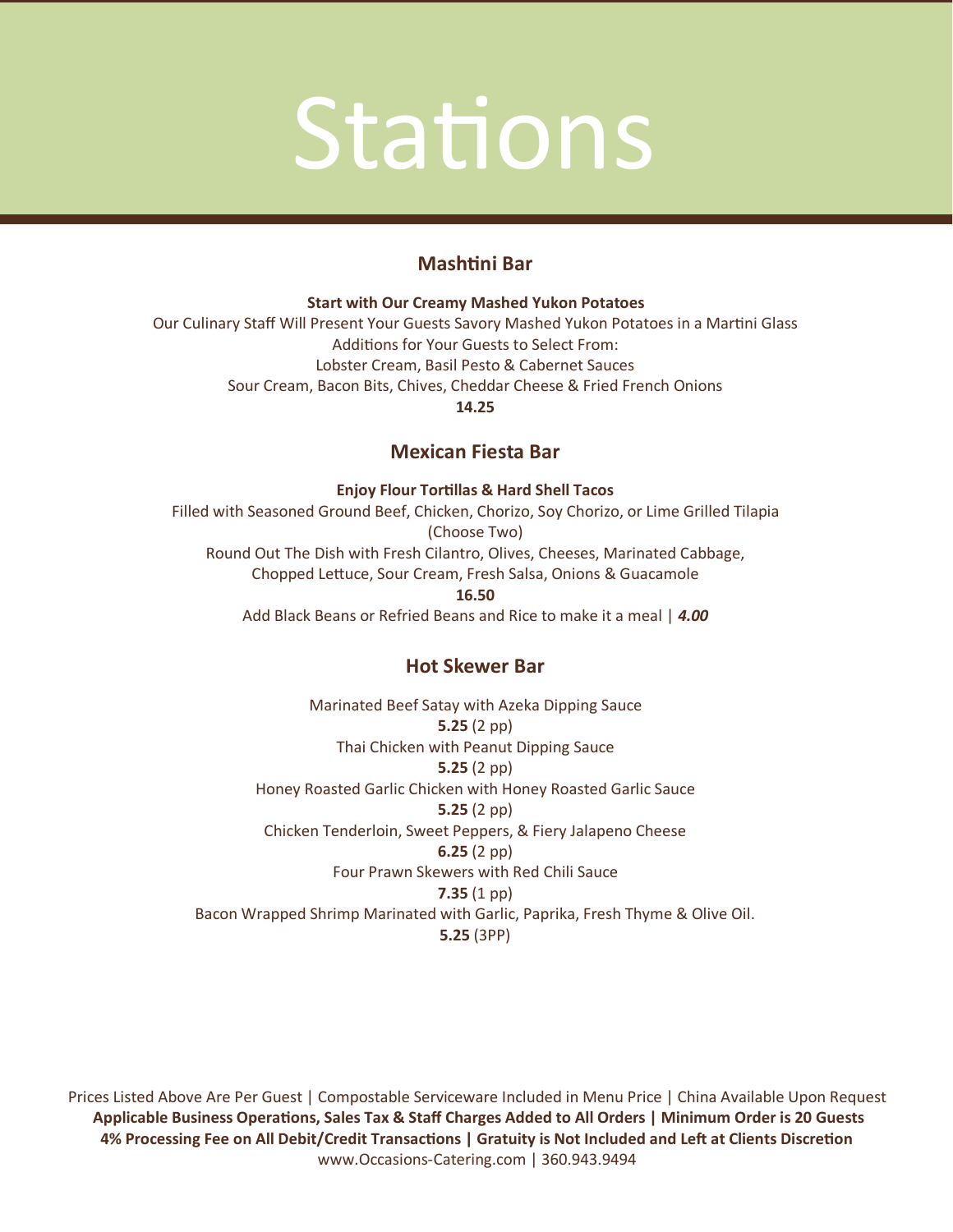### Stations

### **Mashtini Bar**

**Start with Our Creamy Mashed Yukon Potatoes**  Our Culinary Staff Will Present Your Guests Savory Mashed Yukon Potatoes in a Martini Glass Additions for Your Guests to Select From: Lobster Cream, Basil Pesto & Cabernet Sauces Sour Cream, Bacon Bits, Chives, Cheddar Cheese & Fried French Onions **14.25**

### **Mexican Fiesta Bar**

**Enjoy Flour Tortillas & Hard Shell Tacos** 

Filled with Seasoned Ground Beef, Chicken, Chorizo, Soy Chorizo, or Lime Grilled Tilapia (Choose Two) Round Out The Dish with Fresh Cilantro, Olives, Cheeses, Marinated Cabbage, Chopped Lettuce, Sour Cream, Fresh Salsa, Onions & Guacamole **16.50** Add Black Beans or Refried Beans and Rice to make it a meal | *4.00*

### **Hot Skewer Bar**

Marinated Beef Satay with Azeka Dipping Sauce **5.25** (2 pp) Thai Chicken with Peanut Dipping Sauce **5.25** (2 pp) Honey Roasted Garlic Chicken with Honey Roasted Garlic Sauce **5.25** (2 pp) Chicken Tenderloin, Sweet Peppers, & Fiery Jalapeno Cheese **6.25** (2 pp) Four Prawn Skewers with Red Chili Sauce **7.35** (1 pp) Bacon Wrapped Shrimp Marinated with Garlic, Paprika, Fresh Thyme & Olive Oil. **5.25** (3PP)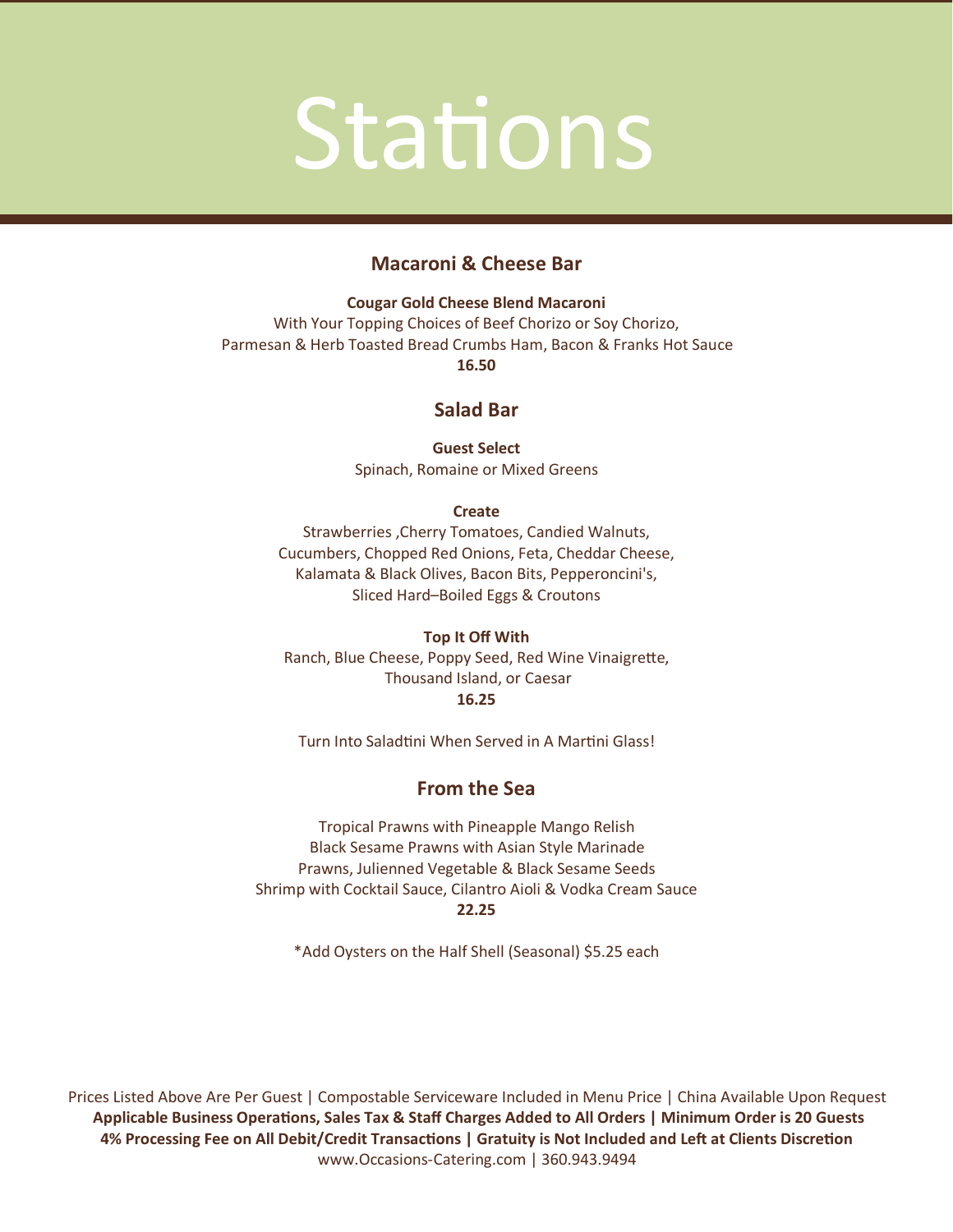### **Stations**

### **Macaroni & Cheese Bar**

**Cougar Gold Cheese Blend Macaroni**  With Your Topping Choices of Beef Chorizo or Soy Chorizo, Parmesan & Herb Toasted Bread Crumbs Ham, Bacon & Franks Hot Sauce **16.50**

### **Salad Bar**

**Guest Select** Spinach, Romaine or Mixed Greens

### **Create**

Strawberries ,Cherry Tomatoes, Candied Walnuts, Cucumbers, Chopped Red Onions, Feta, Cheddar Cheese, Kalamata & Black Olives, Bacon Bits, Pepperoncini's, Sliced Hard–Boiled Eggs & Croutons

### **Top It Off With**

Ranch, Blue Cheese, Poppy Seed, Red Wine Vinaigrette, Thousand Island, or Caesar **16.25**

Turn Into Saladtini When Served in A Martini Glass!

### **From the Sea**

Tropical Prawns with Pineapple Mango Relish Black Sesame Prawns with Asian Style Marinade Prawns, Julienned Vegetable & Black Sesame Seeds Shrimp with Cocktail Sauce, Cilantro Aioli & Vodka Cream Sauce **22.25**

\*Add Oysters on the Half Shell (Seasonal) \$5.25 each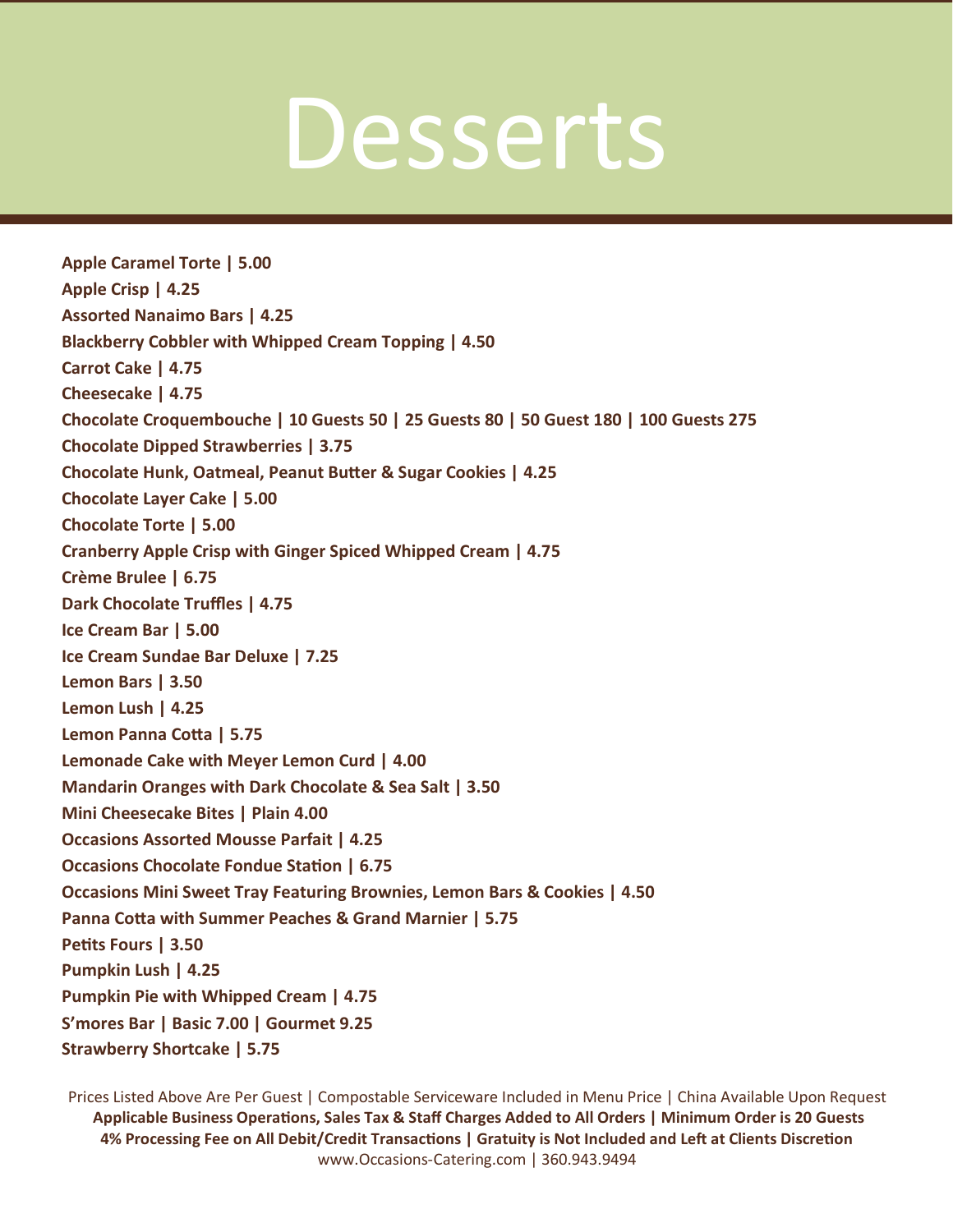### Desserts

**Apple Caramel Torte | 5.00 Apple Crisp | 4.25 Assorted Nanaimo Bars | 4.25 Blackberry Cobbler with Whipped Cream Topping | 4.50 Carrot Cake | 4.75 Cheesecake | 4.75 Chocolate Croquembouche | 10 Guests 50 | 25 Guests 80 | 50 Guest 180 | 100 Guests 275 Chocolate Dipped Strawberries | 3.75 Chocolate Hunk, Oatmeal, Peanut Butter & Sugar Cookies | 4.25 Chocolate Layer Cake | 5.00 Chocolate Torte | 5.00 Cranberry Apple Crisp with Ginger Spiced Whipped Cream | 4.75 Crème Brulee | 6.75 Dark Chocolate Truffles | 4.75 Ice Cream Bar | 5.00 Ice Cream Sundae Bar Deluxe | 7.25 Lemon Bars | 3.50 Lemon Lush | 4.25 Lemon Panna Cotta | 5.75 Lemonade Cake with Meyer Lemon Curd | 4.00 Mandarin Oranges with Dark Chocolate & Sea Salt | 3.50 Mini Cheesecake Bites | Plain 4.00 Occasions Assorted Mousse Parfait | 4.25 Occasions Chocolate Fondue Station | 6.75 Occasions Mini Sweet Tray Featuring Brownies, Lemon Bars & Cookies | 4.50 Panna Cotta with Summer Peaches & Grand Marnier | 5.75 Petits Fours | 3.50 Pumpkin Lush | 4.25 Pumpkin Pie with Whipped Cream | 4.75 S'mores Bar | Basic 7.00 | Gourmet 9.25 Strawberry Shortcake | 5.75**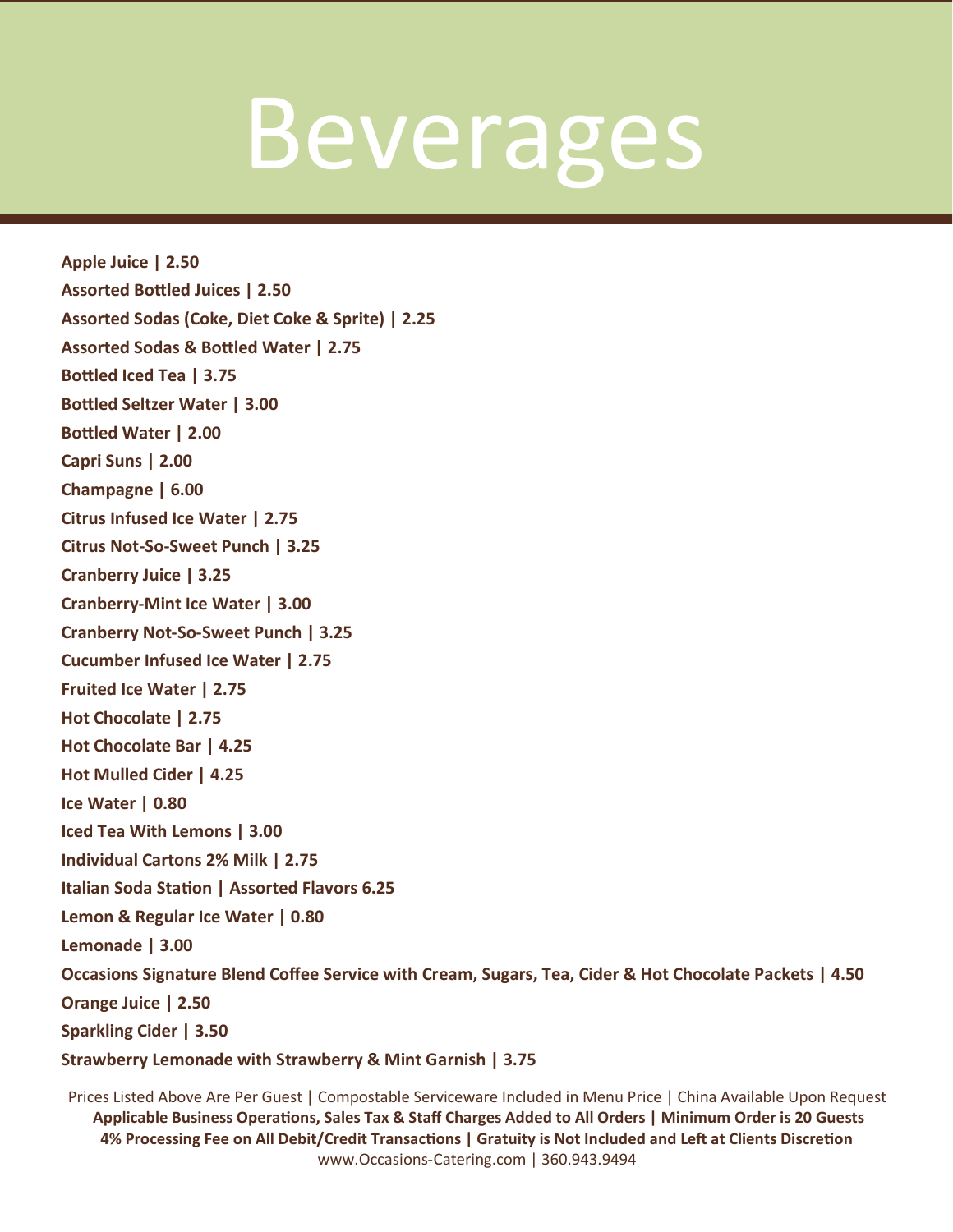### Beverages

**Apple Juice | 2.50 Assorted Bottled Juices | 2.50 Assorted Sodas (Coke, Diet Coke & Sprite) | 2.25 Assorted Sodas & Bottled Water | 2.75 Bottled Iced Tea | 3.75 Bottled Seltzer Water | 3.00 Bottled Water | 2.00 Capri Suns | 2.00 Champagne | 6.00 Citrus Infused Ice Water | 2.75 Citrus Not-So-Sweet Punch | 3.25 Cranberry Juice | 3.25 Cranberry-Mint Ice Water | 3.00 Cranberry Not-So-Sweet Punch | 3.25 Cucumber Infused Ice Water | 2.75 Fruited Ice Water | 2.75 Hot Chocolate | 2.75 Hot Chocolate Bar | 4.25 Hot Mulled Cider | 4.25 Ice Water | 0.80 Iced Tea With Lemons | 3.00 Individual Cartons 2% Milk | 2.75 Italian Soda Station | Assorted Flavors 6.25 Lemon & Regular Ice Water | 0.80 Lemonade | 3.00 Occasions Signature Blend Coffee Service with Cream, Sugars, Tea, Cider & Hot Chocolate Packets | 4.50 Orange Juice | 2.50 Sparkling Cider | 3.50 Strawberry Lemonade with Strawberry & Mint Garnish | 3.75**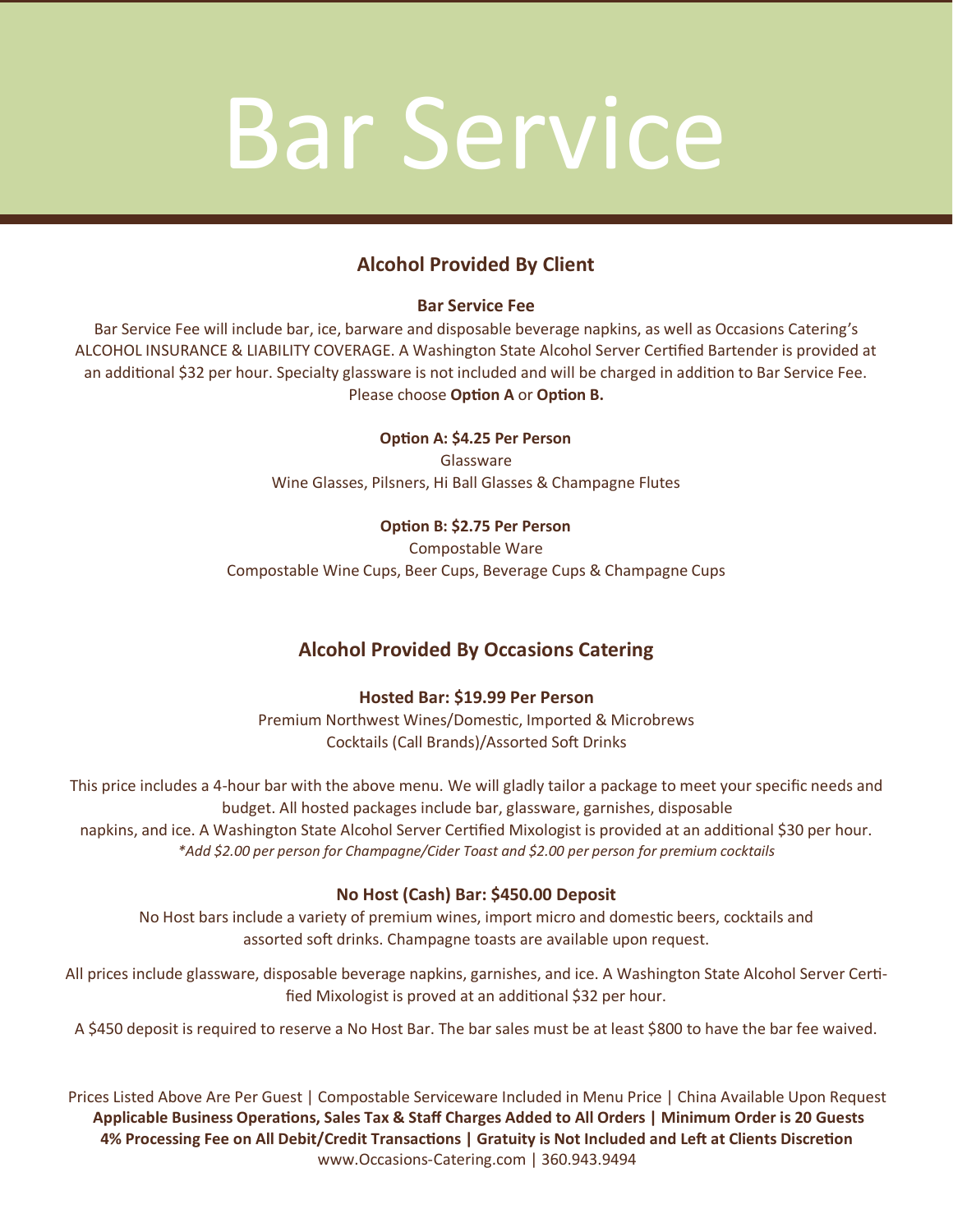### Bar Service

### **Alcohol Provided By Client**

### **Bar Service Fee**

Bar Service Fee will include bar, ice, barware and disposable beverage napkins, as well as Occasions Catering's ALCOHOL INSURANCE & LIABILITY COVERAGE. A Washington State Alcohol Server Certified Bartender is provided at an additional \$32 per hour. Specialty glassware is not included and will be charged in addition to Bar Service Fee. Please choose **Option A** or **Option B.**

### **Option A: \$4.25 Per Person**

Glassware Wine Glasses, Pilsners, Hi Ball Glasses & Champagne Flutes

### **Option B: \$2.75 Per Person**

Compostable Ware Compostable Wine Cups, Beer Cups, Beverage Cups & Champagne Cups

### **Alcohol Provided By Occasions Catering**

### **Hosted Bar: \$19.99 Per Person**

Premium Northwest Wines/Domestic, Imported & Microbrews Cocktails (Call Brands)/Assorted Soft Drinks

This price includes a 4-hour bar with the above menu. We will gladly tailor a package to meet your specific needs and budget. All hosted packages include bar, glassware, garnishes, disposable napkins, and ice. A Washington State Alcohol Server Certified Mixologist is provided at an additional \$30 per hour. *\*Add \$2.00 per person for Champagne/Cider Toast and \$2.00 per person for premium cocktails*

### **No Host (Cash) Bar: \$450.00 Deposit**

No Host bars include a variety of premium wines, import micro and domestic beers, cocktails and assorted soft drinks. Champagne toasts are available upon request.

All prices include glassware, disposable beverage napkins, garnishes, and ice. A Washington State Alcohol Server Certified Mixologist is proved at an additional \$32 per hour.

A \$450 deposit is required to reserve a No Host Bar. The bar sales must be at least \$800 to have the bar fee waived.